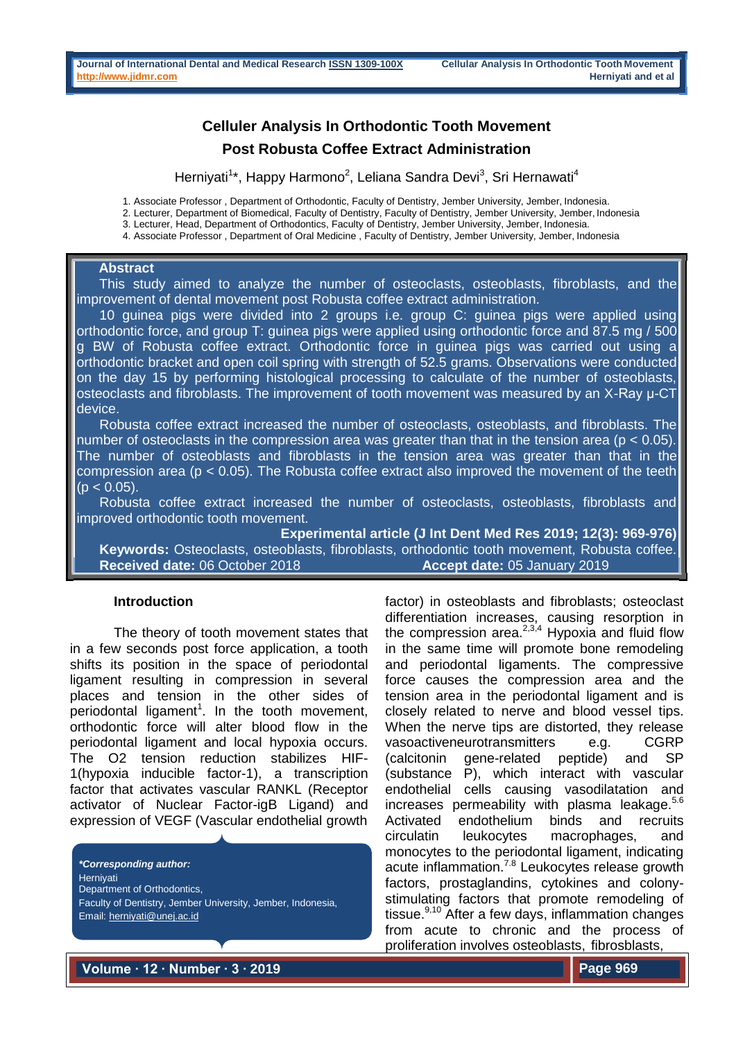# **Celluler Analysis In Orthodontic Tooth Movement Post Robusta Coffee Extract Administration**

Herniyati<sup>1\*</sup>, Happy Harmono<sup>2</sup>, Leliana Sandra Devi<sup>3</sup>, Sri Hernawati<sup>4</sup>

1. Associate Professor , Department of Orthodontic, Faculty of Dentistry, Jember University, Jember, Indonesia.

2. Lecturer, Department of Biomedical, Faculty of Dentistry, Faculty of Dentistry, Jember University, Jember, Indonesia

3. Lecturer, Head, Department of Orthodontics, Faculty of Dentistry, Jember University, Jember, Indonesia.

4. Associate Professor , Department of Oral Medicine , Faculty of Dentistry, Jember University, Jember, Indonesia

#### **Abstract**

This study aimed to analyze the number of osteoclasts, osteoblasts, fibroblasts, and the improvement of dental movement post Robusta coffee extract administration.

10 guinea pigs were divided into 2 groups i.e. group C: guinea pigs were applied using orthodontic force, and group T: guinea pigs were applied using orthodontic force and 87.5 mg / 500 g BW of Robusta coffee extract. Orthodontic force in guinea pigs was carried out using a orthodontic bracket and open coil spring with strength of 52.5 grams. Observations were conducted on the day 15 by performing histological processing to calculate of the number of osteoblasts, osteoclasts and fibroblasts. The improvement of tooth movement was measured by an X-Ray µ-CT device.

Robusta coffee extract increased the number of osteoclasts, osteoblasts, and fibroblasts. The number of osteoclasts in the compression area was greater than that in the tension area ( $p < 0.05$ ). The number of osteoblasts and fibroblasts in the tension area was greater than that in the compression area ( $p < 0.05$ ). The Robusta coffee extract also improved the movement of the teeth  $(p < 0.05)$ .

Robusta coffee extract increased the number of osteoclasts, osteoblasts, fibroblasts and improved orthodontic tooth movement.

**Experimental article (J Int Dent Med Res 2019; 12(3): 969-976) Keywords:** Osteoclasts, osteoblasts, fibroblasts, orthodontic tooth movement, Robusta coffee. **Received date:** 06 October 2018 **Accept date:** 05 January 2019

## **Introduction**

The theory of tooth movement states that in a few seconds post force application, a tooth shifts its position in the space of periodontal ligament resulting in compression in several places and tension in the other sides of periodontal ligament<sup>1</sup>. In the tooth movement, orthodontic force will alter blood flow in the periodontal ligament and local hypoxia occurs. The O2 tension reduction stabilizes HIF-1(hypoxia inducible factor-1), a transcription factor that activates vascular RANKL (Receptor activator of Nuclear Factor-igB Ligand) and expression of VEGF (Vascular endothelial growth

*\*Corresponding author:* **Hernivati** Department of Orthodontics, Faculty of Dentistry, Jember University, Jember, Indonesia, Email[: herniyati@unej.ac.id](mailto:herniyati@unej.ac.id)

factor) in osteoblasts and fibroblasts; osteoclast differentiation increases, causing resorption in the compression area. $2,3,4$  Hypoxia and fluid flow in the same time will promote bone remodeling and periodontal ligaments. The compressive force causes the compression area and the tension area in the periodontal ligament and is closely related to nerve and blood vessel tips. When the nerve tips are distorted, they release vasoactiveneurotransmitters e.g. CGRP (calcitonin gene-related peptide) and SP (substance P), which interact with vascular endothelial cells causing vasodilatation and increases permeability with plasma leakage. $5.6$ Activated endothelium binds and recruits circulatin leukocytes macrophages, and monocytes to the periodontal ligament, indicating acute inflammation.<sup>7.8</sup> Leukocytes release growth factors, prostaglandins, cytokines and colonystimulating factors that promote remodeling of tissue. $9,10$  After a few days, inflammation changes from acute to chronic and the process of proliferation involves osteoblasts, fibrosblasts,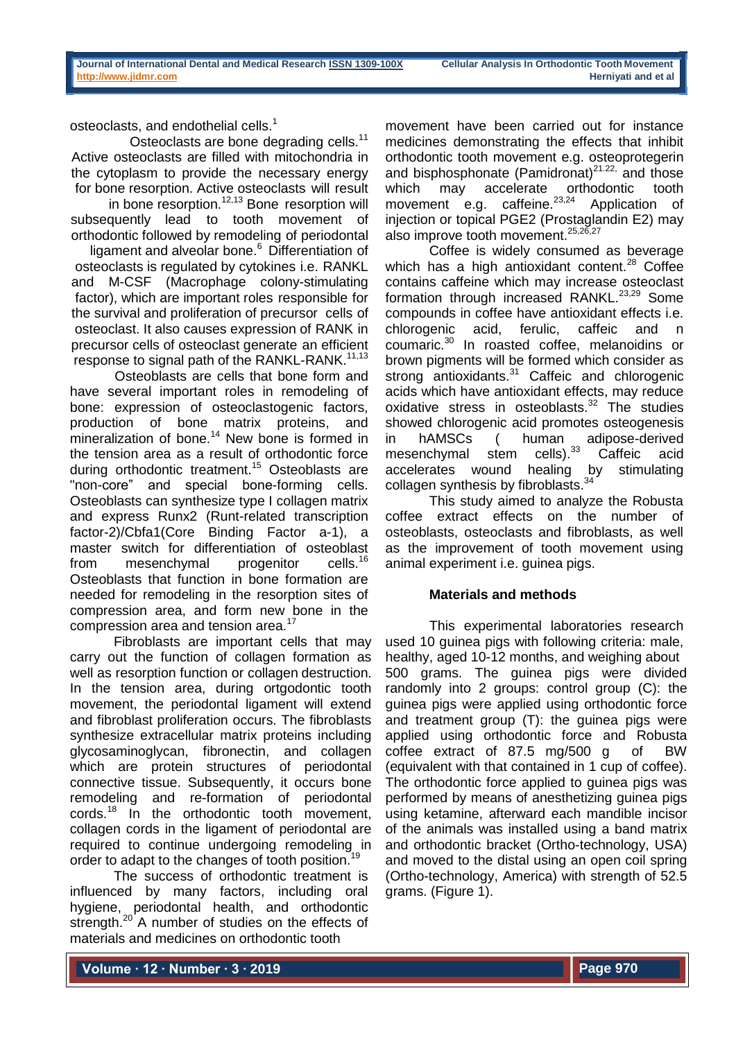osteoclasts, and endothelial cells.<sup>1</sup>

Osteoclasts are bone degrading cells.<sup>11</sup> Active osteoclasts are filled with mitochondria in the cytoplasm to provide the necessary energy for bone resorption. Active osteoclasts will result

in bone resorption. $12,13}$  Bone resorption will subsequently lead to tooth movement of orthodontic followed by remodeling of periodontal

ligament and alveolar bone.<sup>6</sup> Differentiation of osteoclasts is regulated by cytokines i.e. RANKL and M-CSF (Macrophage colony-stimulating factor), which are important roles responsible for the survival and proliferation of precursor cells of osteoclast. It also causes expression of RANK in precursor cells of osteoclast generate an efficient response to signal path of the RANKL-RANK.<sup>11,13</sup>

Osteoblasts are cells that bone form and have several important roles in remodeling of bone: expression of osteoclastogenic factors, production of bone matrix proteins, and mineralization of bone.<sup>14</sup> New bone is formed in the tension area as a result of orthodontic force during orthodontic treatment.<sup>15</sup> Osteoblasts are "non-core" and special bone-forming cells. Osteoblasts can synthesize type I collagen matrix and express Runx2 (Runt-related transcription factor-2)/Cbfa1(Core Binding Factor a-1), a master switch for differentiation of osteoblast<br>from mesenchymal progenitor cells.<sup>16</sup> from mesenchymal Osteoblasts that function in bone formation are needed for remodeling in the resorption sites of compression area, and form new bone in the compression area and tension area.<sup>17</sup>

Fibroblasts are important cells that may carry out the function of collagen formation as well as resorption function or collagen destruction. In the tension area, during ortgodontic tooth movement, the periodontal ligament will extend and fibroblast proliferation occurs. The fibroblasts synthesize extracellular matrix proteins including glycosaminoglycan, fibronectin, and collagen which are protein structures of periodontal connective tissue. Subsequently, it occurs bone remodeling and re-formation of periodontal cords.<sup>18</sup> In the orthodontic tooth movement, collagen cords in the ligament of periodontal are required to continue undergoing remodeling in order to adapt to the changes of tooth position.<sup>19</sup>

The success of orthodontic treatment is influenced by many factors, including oral hygiene, periodontal health, and orthodontic strength.<sup>20</sup> A number of studies on the effects of materials and medicines on orthodontic tooth

movement have been carried out for instance medicines demonstrating the effects that inhibit orthodontic tooth movement e.g. osteoprotegerin and bisphosphonate (Pamidronat) $2^{1.22}$ , and those which may accelerate orthodontic tooth which may accelerate orthodontic movement  $e.g.$  caffeine.<sup>23,24</sup> Application of injection or topical PGE2 (Prostaglandin E2) may also improve tooth movement.<sup>25,26,27</sup>

Coffee is widely consumed as beverage which has a high antioxidant content.<sup>28</sup> Coffee contains caffeine which may increase osteoclast formation through increased RANKL.<sup>23,29</sup> Some compounds in coffee have antioxidant effects i.e. chlorogenic acid, ferulic, caffeic and n coumaric.<sup>30</sup> In roasted coffee, melanoidins or brown pigments will be formed which consider as strong antioxidants. $31$  Caffeic and chlorogenic acids which have antioxidant effects, may reduce oxidative stress in osteoblasts.<sup>32</sup> The studies showed chlorogenic acid promotes osteogenesis in hAMSCs ( human adipose-derived<br>mesenchymal stem cells).<sup>33</sup> Caffeic acid mesenchymal stem cells).<sup>33</sup> Caffeic acid accelerates wound healing by stimulating collagen synthesis by fibroblasts.<sup>34</sup>

This study aimed to analyze the Robusta coffee extract effects on the number of osteoblasts, osteoclasts and fibroblasts, as well as the improvement of tooth movement using animal experiment i.e. guinea pigs.

## **Materials and methods**

This experimental laboratories research used 10 guinea pigs with following criteria: male, healthy, aged 10-12 months, and weighing about 500 grams. The guinea pigs were divided randomly into 2 groups: control group (C): the guinea pigs were applied using orthodontic force and treatment group (T): the guinea pigs were applied using orthodontic force and Robusta coffee extract of 87.5 mg/500 g of BW (equivalent with that contained in 1 cup of coffee). The orthodontic force applied to guinea pigs was performed by means of anesthetizing guinea pigs using ketamine, afterward each mandible incisor of the animals was installed using a band matrix and orthodontic bracket (Ortho-technology, USA) and moved to the distal using an open coil spring (Ortho-technology, America) with strength of 52.5 grams. (Figure 1).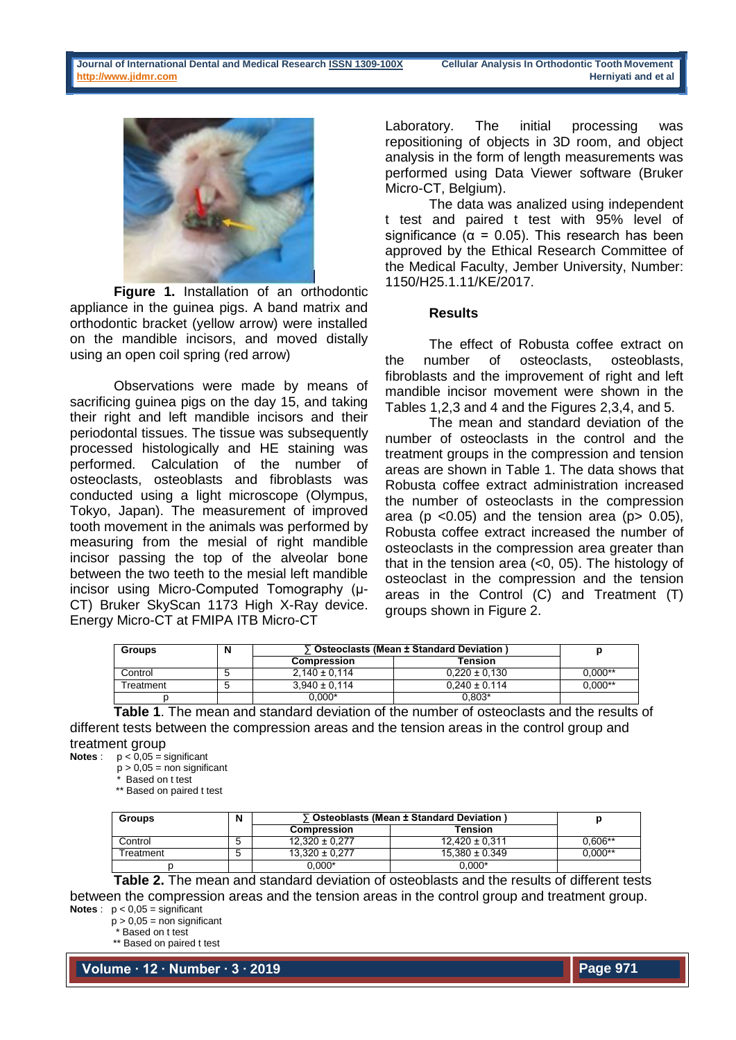

**Figure 1.** Installation of an orthodontic appliance in the guinea pigs. A band matrix and orthodontic bracket (yellow arrow) were installed on the mandible incisors, and moved distally using an open coil spring (red arrow)

Observations were made by means of sacrificing guinea pigs on the day 15, and taking their right and left mandible incisors and their periodontal tissues. The tissue was subsequently processed histologically and HE staining was performed. Calculation of the number of osteoclasts, osteoblasts and fibroblasts was conducted using a light microscope (Olympus, Tokyo, Japan). The measurement of improved tooth movement in the animals was performed by measuring from the mesial of right mandible incisor passing the top of the alveolar bone between the two teeth to the mesial left mandible incisor using Micro-Computed Tomography (µ-CT) Bruker SkyScan 1173 High X-Ray device. Energy Micro-CT at FMIPA ITB Micro-CT

Laboratory. The initial processing was repositioning of objects in 3D room, and object analysis in the form of length measurements was performed using Data Viewer software (Bruker Micro-CT, Belgium).

The data was analized using independent t test and paired t test with 95% level of significance ( $\alpha$  = 0.05). This research has been approved by the Ethical Research Committee of the Medical Faculty, Jember University, Number: 1150/H25.1.11/KE/2017.

#### **Results**

The effect of Robusta coffee extract on the number of osteoclasts, osteoblasts, fibroblasts and the improvement of right and left mandible incisor movement were shown in the Tables 1,2,3 and 4 and the Figures 2,3,4, and 5.

The mean and standard deviation of the number of osteoclasts in the control and the treatment groups in the compression and tension areas are shown in Table 1. The data shows that Robusta coffee extract administration increased the number of osteoclasts in the compression area ( $p \le 0.05$ ) and the tension area ( $p \ge 0.05$ ), Robusta coffee extract increased the number of osteoclasts in the compression area greater than that in the tension area (<0, 05). The histology of osteoclast in the compression and the tension areas in the Control (C) and Treatment (T) groups shown in Figure 2.

| <b>Groups</b> | N | 「Osteoclasts (Mean ± Standard Deviation) |                   |              |
|---------------|---|------------------------------------------|-------------------|--------------|
|               |   | <b>Compression</b>                       | Tension           |              |
| Control       |   | $2.140 \pm 0.114$                        | $0.220 \pm 0.130$ | $0.000^{**}$ |
| Treatment     |   | $3.940 \pm 0.114$                        | $0.240 \pm 0.114$ | $0.000^{**}$ |
|               |   | 0.000*                                   | 0.803*            |              |

**Table 1**. The mean and standard deviation of the number of osteoclasts and the results of different tests between the compression areas and the tension areas in the control group and treatment group

**Notes** :  $p < 0.05$  = significant

p > 0,05 = non significant

\* Based on t test

\*\* Based on paired t test

| <b>Groups</b>    | N | Osteoblasts (Mean ± Standard Deviation) |                    |           |
|------------------|---|-----------------------------------------|--------------------|-----------|
|                  |   | <b>Compression</b>                      | Tension            |           |
| Control          |   | $12.320 \pm 0.277$                      | $12.420 \pm 0.311$ | $0.606**$ |
| <b>Freatment</b> |   | $13.320 \pm 0.277$                      | $15.380 \pm 0.349$ | $0.000**$ |
|                  |   | 0.000*                                  | 0.000*             |           |

**Table 2.** The mean and standard deviation of osteoblasts and the results of different tests between the compression areas and the tension areas in the control group and treatment group. **Notes** :  $p < 0.05$  = significant

 $p > 0,05 =$  non significant \* Based on t test

\*\* Based on paired t test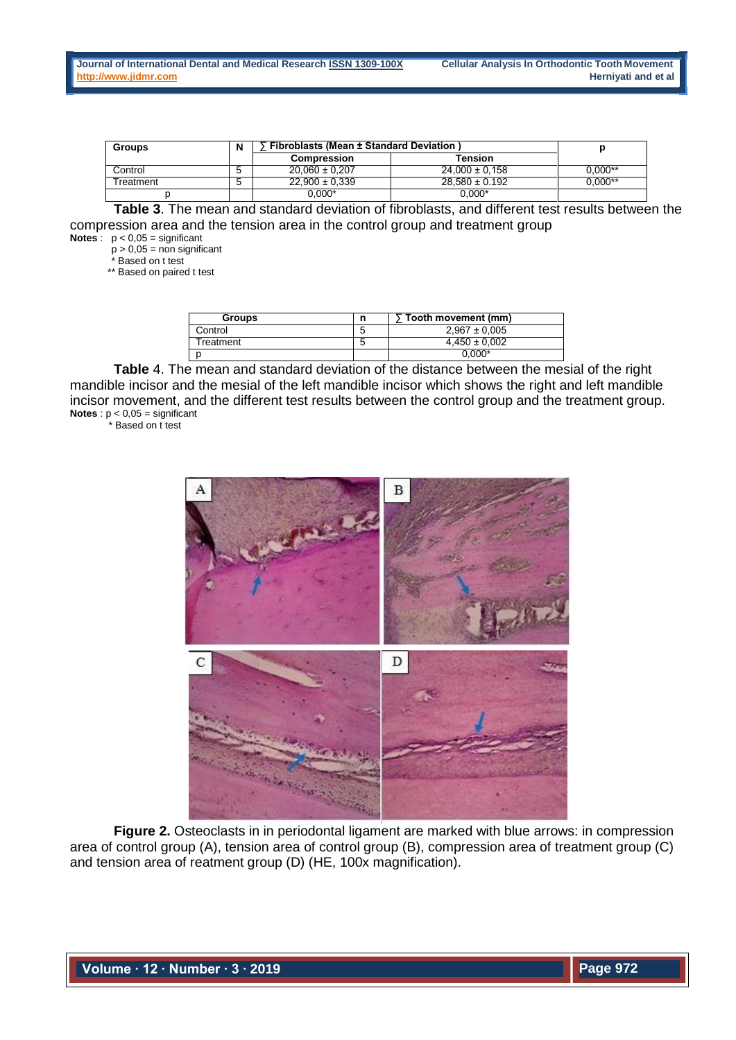| <b>Groups</b>         | N | <b>Fibroblasts (Mean ± Standard Deviation)</b> |                    |           |
|-----------------------|---|------------------------------------------------|--------------------|-----------|
|                       |   | <b>Compression</b>                             | Tension            |           |
| Control               | b | $20.060 \pm 0.207$                             | $24.000 \pm 0.158$ | $0.000**$ |
| <sup>-</sup> reatment | b | $22.900 \pm 0.339$                             | $28.580 \pm 0.192$ | 0.000**   |
|                       |   | $0.000*$                                       | $0.000*$           |           |

**Table 3**. The mean and standard deviation of fibroblasts, and different test results between the compression area and the tension area in the control group and treatment group

**Notes**:  $p < 0.05$  = significant

 $p > 0,05 =$  non significant<br> $p > 0,05 =$  non significant

Based on t test

\*\* Based on paired t test

| <b>Groups</b> | n      | Tooth movement (mm) |
|---------------|--------|---------------------|
| Control       | G      | $2.967 \pm 0.005$   |
| Гreatment.    | ∽<br>J | $4.450 \pm 0.002$   |
|               |        | $0.000*$            |

**Table** 4. The mean and standard deviation of the distance between the mesial of the right mandible incisor and the mesial of the left mandible incisor which shows the right and left mandible incisor movement, and the different test results between the control group and the treatment group. **Notes** : p < 0,05 = significant

\* Based on t test



**Figure 2.** Osteoclasts in in periodontal ligament are marked with blue arrows: in compression area of control group (A), tension area of control group (B), compression area of treatment group (C) and tension area of reatment group (D) (HE, 100x magnification).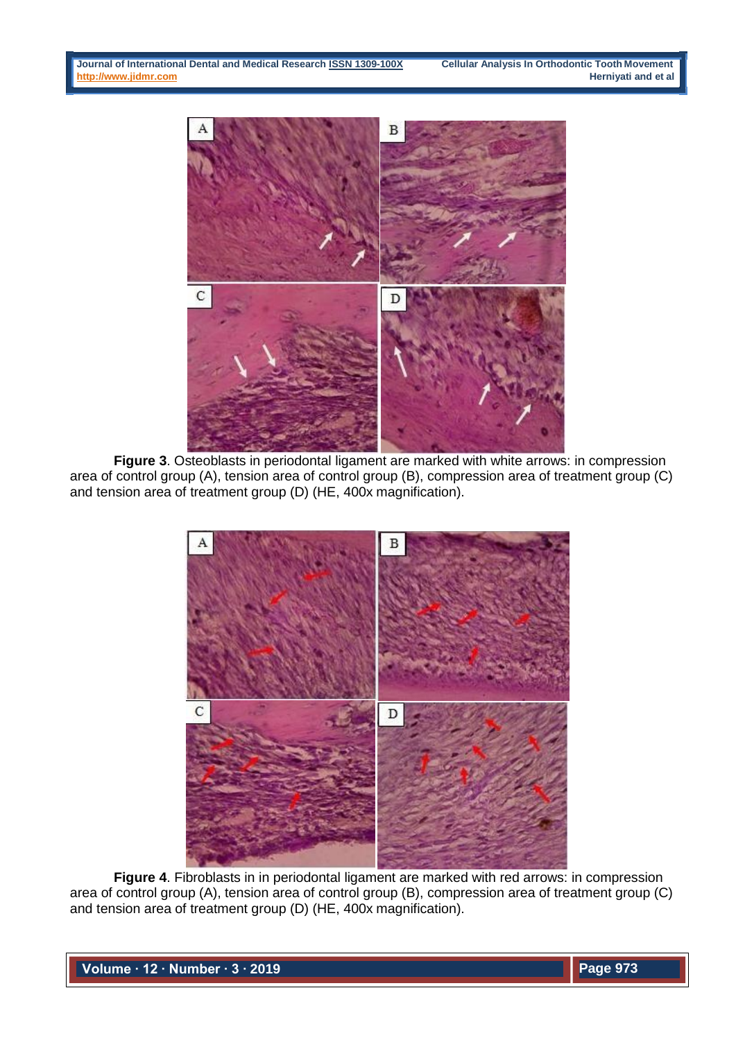

**Figure 3**. Osteoblasts in periodontal ligament are marked with white arrows: in compression area of control group (A), tension area of control group (B), compression area of treatment group (C) and tension area of treatment group (D) (HE, 400x magnification).



**Figure 4**. Fibroblasts in in periodontal ligament are marked with red arrows: in compression area of control group (A), tension area of control group (B), compression area of treatment group (C) and tension area of treatment group (D) (HE, 400x magnification).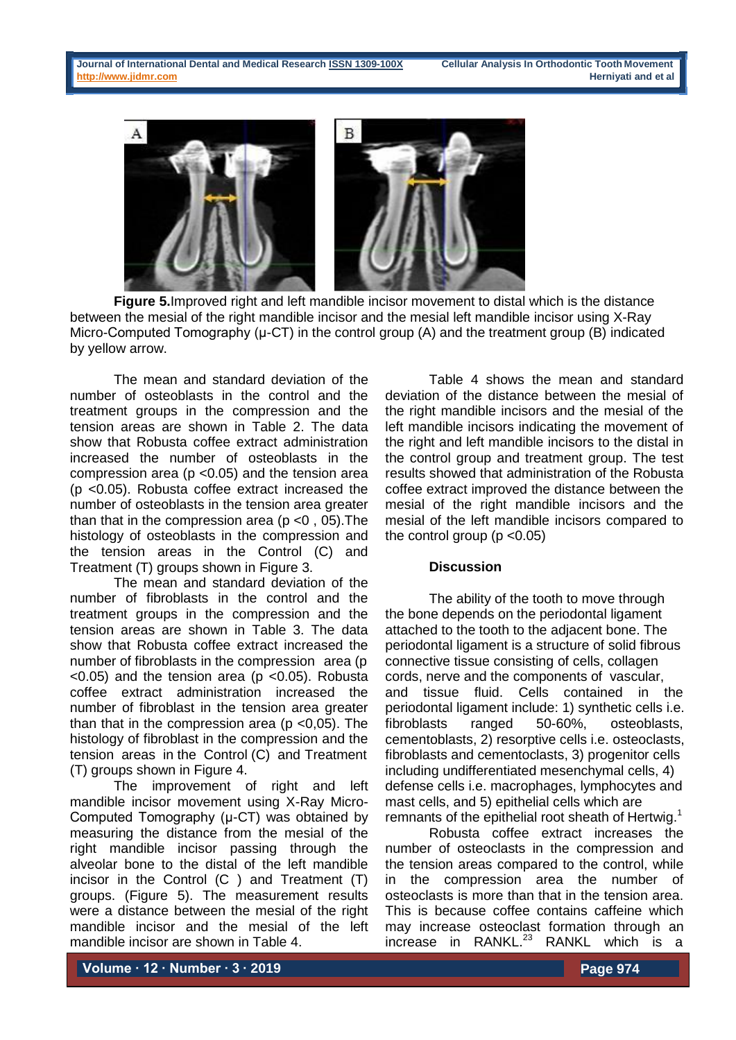

**Figure 5.**Improved right and left mandible incisor movement to distal which is the distance between the mesial of the right mandible incisor and the mesial left mandible incisor using X-Ray Micro-Computed Tomography ( $\mu$ -CT) in the control group (A) and the treatment group (B) indicated by yellow arrow.

The mean and standard deviation of the number of osteoblasts in the control and the treatment groups in the compression and the tension areas are shown in Table 2. The data show that Robusta coffee extract administration increased the number of osteoblasts in the compression area (p <0.05) and the tension area (p <0.05). Robusta coffee extract increased the number of osteoblasts in the tension area greater than that in the compression area ( $p$  <0, 05). The histology of osteoblasts in the compression and the tension areas in the Control (C) and Treatment (T) groups shown in Figure 3.

The mean and standard deviation of the number of fibroblasts in the control and the treatment groups in the compression and the tension areas are shown in Table 3. The data show that Robusta coffee extract increased the number of fibroblasts in the compression area (p  $<$ 0.05) and the tension area (p  $<$ 0.05). Robusta coffee extract administration increased the number of fibroblast in the tension area greater than that in the compression area ( $p$  <0,05). The histology of fibroblast in the compression and the tension areas in the Control (C) and Treatment (T) groups shown in Figure 4.

The improvement of right and left mandible incisor movement using X-Ray Micro-Computed Tomography (µ-CT) was obtained by measuring the distance from the mesial of the right mandible incisor passing through the alveolar bone to the distal of the left mandible incisor in the Control (C ) and Treatment (T) groups. (Figure 5). The measurement results were a distance between the mesial of the right mandible incisor and the mesial of the left mandible incisor are shown in Table 4.

Table 4 shows the mean and standard deviation of the distance between the mesial of the right mandible incisors and the mesial of the left mandible incisors indicating the movement of the right and left mandible incisors to the distal in the control group and treatment group. The test results showed that administration of the Robusta coffee extract improved the distance between the mesial of the right mandible incisors and the mesial of the left mandible incisors compared to the control group ( $p < 0.05$ )

### **Discussion**

The ability of the tooth to move through the bone depends on the periodontal ligament attached to the tooth to the adjacent bone. The periodontal ligament is a structure of solid fibrous connective tissue consisting of cells, collagen cords, nerve and the components of vascular, and tissue fluid. Cells contained in the periodontal ligament include: 1) synthetic cells i.e. fibroblasts ranged 50-60%, osteoblasts, cementoblasts, 2) resorptive cells i.e. osteoclasts, fibroblasts and cementoclasts, 3) progenitor cells including undifferentiated mesenchymal cells, 4) defense cells i.e. macrophages, lymphocytes and mast cells, and 5) epithelial cells which are remnants of the epithelial root sheath of Hertwig.<sup>1</sup>

Robusta coffee extract increases the number of osteoclasts in the compression and the tension areas compared to the control, while in the compression area the number of osteoclasts is more than that in the tension area. This is because coffee contains caffeine which may increase osteoclast formation through an increase in RANKL.<sup>23</sup> RANKL which is a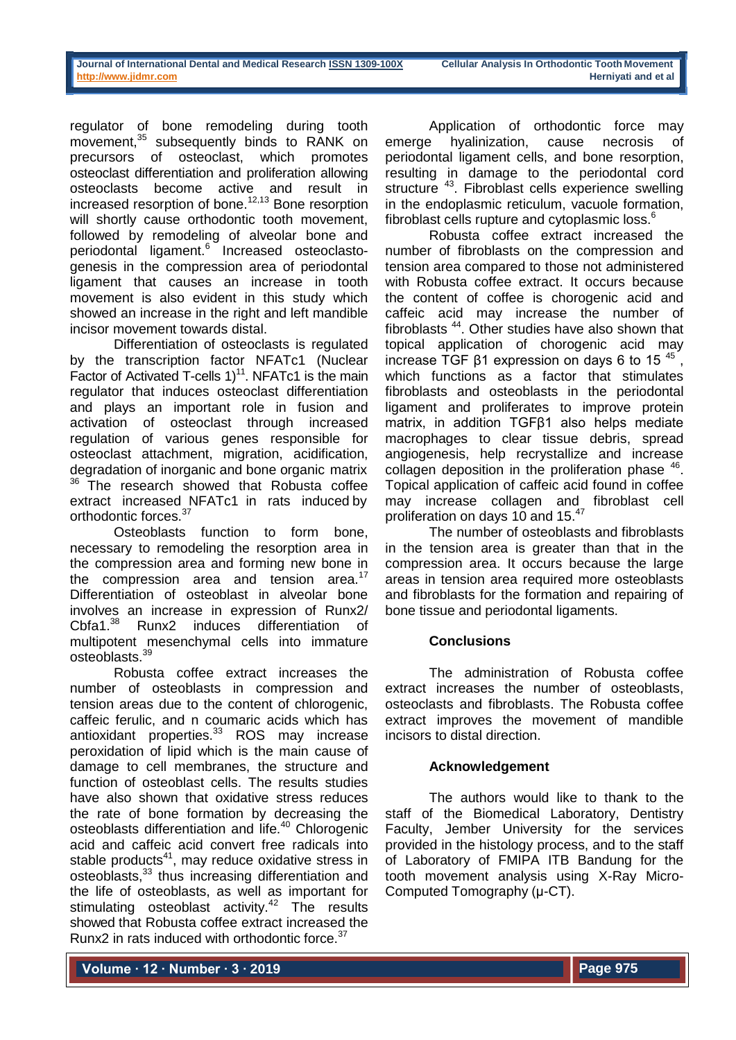regulator of bone remodeling during tooth movement,<sup>35</sup> subsequently binds to RANK on precursors of osteoclast, which promotes osteoclast differentiation and proliferation allowing osteoclasts become active and result in increased resorption of bone.<sup>12,13</sup> Bone resorption will shortly cause orthodontic tooth movement, followed by remodeling of alveolar bone and periodontal ligament.<sup>6</sup> Increased osteoclastogenesis in the compression area of periodontal ligament that causes an increase in tooth movement is also evident in this study which showed an increase in the right and left mandible incisor movement towards distal.

Differentiation of osteoclasts is regulated by the transcription factor NFATc1 (Nuclear Factor of Activated T-cells  $1$ <sup>11</sup>. NFATc1 is the main regulator that induces osteoclast differentiation and plays an important role in fusion and activation of osteoclast through increased regulation of various genes responsible for osteoclast attachment, migration, acidification, degradation of inorganic and bone organic matrix  $36$  The research showed that Robusta coffee extract increased NFATc1 in rats induced by orthodontic forces.<sup>37</sup>

Osteoblasts function to form bone, necessary to remodeling the resorption area in the compression area and forming new bone in the compression area and tension area.<sup>17</sup> Differentiation of osteoblast in alveolar bone involves an increase in expression of Runx2/<br>Cbfa1.<sup>38</sup> Runx2 induces differentiation of Runx2 induces differentiation of multipotent mesenchymal cells into immature osteoblasts.<sup>39</sup>

Robusta coffee extract increases the number of osteoblasts in compression and tension areas due to the content of chlorogenic, caffeic ferulic, and n coumaric acids which has antioxidant properties.<sup>33</sup> ROS may increase peroxidation of lipid which is the main cause of damage to cell membranes, the structure and function of osteoblast cells. The results studies have also shown that oxidative stress reduces the rate of bone formation by decreasing the osteoblasts differentiation and life.<sup>40</sup> Chlorogenic acid and caffeic acid convert free radicals into stable products<sup>41</sup>, may reduce oxidative stress in osteoblasts,<sup>33</sup> thus increasing differentiation and the life of osteoblasts, as well as important for stimulating osteoblast activity.<sup>42</sup> The results showed that Robusta coffee extract increased the Runx2 in rats induced with orthodontic force.<sup>37</sup>

Application of orthodontic force may emerge hyalinization, cause necrosis of periodontal ligament cells, and bone resorption, resulting in damage to the periodontal cord structure <sup>43</sup>. Fibroblast cells experience swelling in the endoplasmic reticulum, vacuole formation, fibroblast cells rupture and cytoplasmic loss.<sup>6</sup>

Robusta coffee extract increased the number of fibroblasts on the compression and tension area compared to those not administered with Robusta coffee extract. It occurs because the content of coffee is chorogenic acid and caffeic acid may increase the number of fibroblasts  $44$ . Other studies have also shown that topical application of chorogenic acid may increase TGF  $β1$  expression on days 6 to 15<sup>45</sup>, which functions as a factor that stimulates fibroblasts and osteoblasts in the periodontal ligament and proliferates to improve protein matrix, in addition TGFβ1 also helps mediate macrophages to clear tissue debris, spread angiogenesis, help recrystallize and increase collagen deposition in the proliferation phase <sup>46</sup>. Topical application of caffeic acid found in coffee may increase collagen and fibroblast cell proliferation on days 10 and 15.<sup>47</sup>

The number of osteoblasts and fibroblasts in the tension area is greater than that in the compression area. It occurs because the large areas in tension area required more osteoblasts and fibroblasts for the formation and repairing of bone tissue and periodontal ligaments.

## **Conclusions**

The administration of Robusta coffee extract increases the number of osteoblasts, osteoclasts and fibroblasts. The Robusta coffee extract improves the movement of mandible incisors to distal direction.

#### **Acknowledgement**

The authors would like to thank to the staff of the Biomedical Laboratory, Dentistry Faculty, Jember University for the services provided in the histology process, and to the staff of Laboratory of FMIPA ITB Bandung for the tooth movement analysis using X-Ray Micro-Computed Tomography (µ-CT).